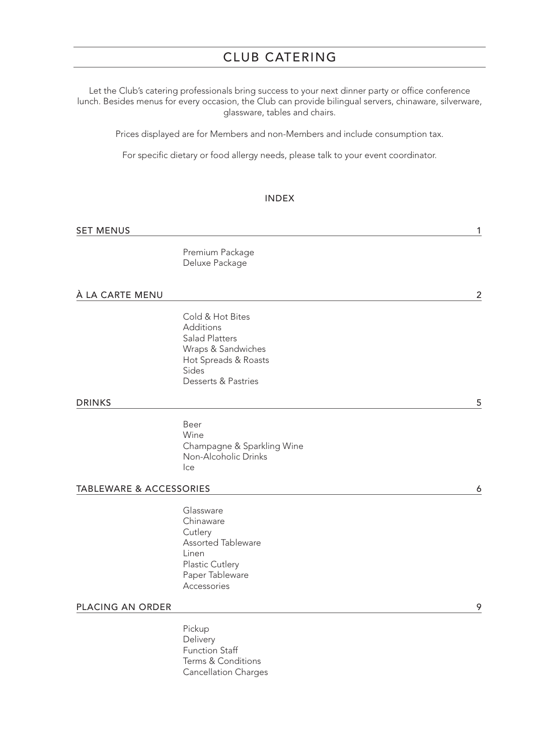# CLUB CATERING

Let the Club's catering professionals bring success to your next dinner party or office conference lunch. Besides menus for every occasion, the Club can provide bilingual servers, chinaware, silverware, glassware, tables and chairs.

Prices displayed are for Members and non-Members and include consumption tax.

For specific dietary or food allergy needs, please talk to your event coordinator.

#### INDEX

| <b>SET MENUS</b><br>$ -$ |  |
|--------------------------|--|
|--------------------------|--|

Premium Package Deluxe Package

#### À LA CARTE MENU 2

Cold & Hot Bites Additions Salad Platters Wraps & Sandwiches Hot Spreads & Roasts Sides Desserts & Pastries

#### **DRINKS** 5

Beer Wine Champagne & Sparkling Wine Non-Alcoholic Drinks Ice

#### TABLEWARE & ACCESSORIES 6

Glassware Chinaware **Cutlery** Assorted Tableware Linen Plastic Cutlery Paper Tableware Accessories

### PLACING AN ORDER 9

Pickup **Delivery** Function Staff Terms & Conditions Cancellation Charges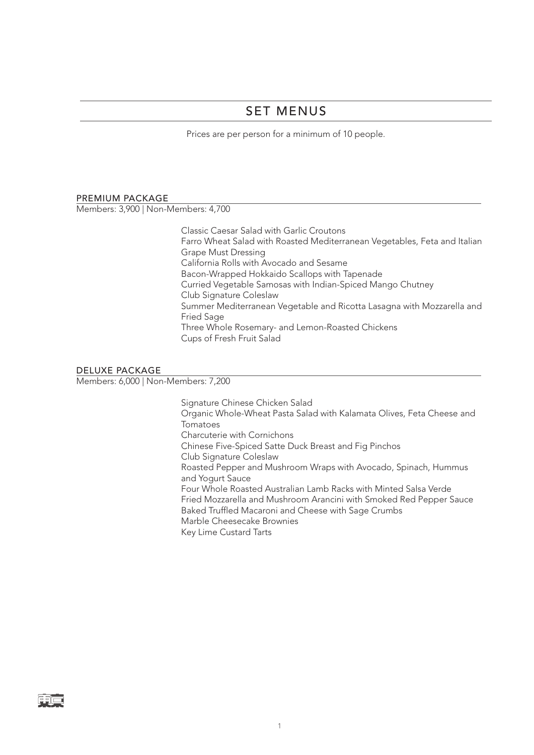# SET MENUS

Prices are per person for a minimum of 10 people.

#### PREMIUM PACKAGE

Members: 3,900 | Non-Members: 4,700

Classic Caesar Salad with Garlic Croutons Farro Wheat Salad with Roasted Mediterranean Vegetables, Feta and Italian Grape Must Dressing California Rolls with Avocado and Sesame Bacon-Wrapped Hokkaido Scallops with Tapenade Curried Vegetable Samosas with Indian-Spiced Mango Chutney Club Signature Coleslaw Summer Mediterranean Vegetable and Ricotta Lasagna with Mozzarella and Fried Sage Three Whole Rosemary- and Lemon-Roasted Chickens Cups of Fresh Fruit Salad

#### DELUXE PACKAGE

Members: 6,000 | Non-Members: 7,200

Signature Chinese Chicken Salad Organic Whole-Wheat Pasta Salad with Kalamata Olives, Feta Cheese and Tomatoes Charcuterie with Cornichons Chinese Five-Spiced Satte Duck Breast and Fig Pinchos Club Signature Coleslaw Roasted Pepper and Mushroom Wraps with Avocado, Spinach, Hummus and Yogurt Sauce Four Whole Roasted Australian Lamb Racks with Minted Salsa Verde Fried Mozzarella and Mushroom Arancini with Smoked Red Pepper Sauce Baked Truffled Macaroni and Cheese with Sage Crumbs Marble Cheesecake Brownies Key Lime Custard Tarts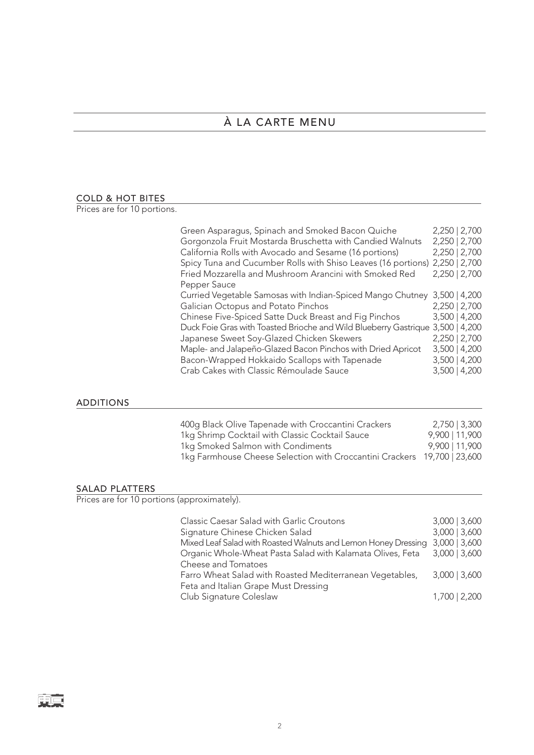# À LA CARTE MENU

#### COLD & HOT BITES

Prices are for 10 portions.

| Green Asparagus, Spinach and Smoked Bacon Quiche                            | 2,250   2,700   |  |
|-----------------------------------------------------------------------------|-----------------|--|
| Gorgonzola Fruit Mostarda Bruschetta with Candied Walnuts                   | 2,250   2,700   |  |
| California Rolls with Avocado and Sesame (16 portions)                      | 2,250   2,700   |  |
| Spicy Tuna and Cucumber Rolls with Shiso Leaves (16 portions) 2,250   2,700 |                 |  |
| Fried Mozzarella and Mushroom Arancini with Smoked Red                      | 2,250   2,700   |  |
| Pepper Sauce                                                                |                 |  |
| Curried Vegetable Samosas with Indian-Spiced Mango Chutney                  | $3,500$   4,200 |  |
| Galician Octopus and Potato Pinchos                                         | 2,250   2,700   |  |
| Chinese Five-Spiced Satte Duck Breast and Fig Pinchos                       | $3,500$   4,200 |  |
| Duck Foie Gras with Toasted Brioche and Wild Blueberry Gastrique            | $3,500$   4,200 |  |
| Japanese Sweet Soy-Glazed Chicken Skewers                                   | 2,250   2,700   |  |
| Maple- and Jalapeño-Glazed Bacon Pinchos with Dried Apricot                 | $3,500$   4,200 |  |
| Bacon-Wrapped Hokkaido Scallops with Tapenade                               | $3,500$   4,200 |  |
| Crab Cakes with Classic Rémoulade Sauce                                     | $3,500$   4,200 |  |

### ADDITIONS

| 400g Black Olive Tapenade with Croccantini Crackers                      | 2,750   3,300  |
|--------------------------------------------------------------------------|----------------|
| 1kg Shrimp Cocktail with Classic Cocktail Sauce                          | 9,900   11,900 |
| 1kg Smoked Salmon with Condiments                                        | 9,900   11,900 |
| 1kg Farmhouse Cheese Selection with Croccantini Crackers 19,700   23,600 |                |

### SALAD PLATTERS

Prices are for 10 portions (approximately).

| Classic Caesar Salad with Garlic Croutons                      | $3,000$   $3,600$ |
|----------------------------------------------------------------|-------------------|
| Signature Chinese Chicken Salad                                | $3,000$   $3,600$ |
| Mixed Leaf Salad with Roasted Walnuts and Lemon Honey Dressing | $3,000$   $3,600$ |
| Organic Whole-Wheat Pasta Salad with Kalamata Olives, Feta     | $3,000$   $3,600$ |
| Cheese and Tomatoes                                            |                   |
| Farro Wheat Salad with Roasted Mediterranean Vegetables,       | $3,000$   3,600   |
| Feta and Italian Grape Must Dressing                           |                   |
| Club Signature Coleslaw                                        | 1,700   2,200     |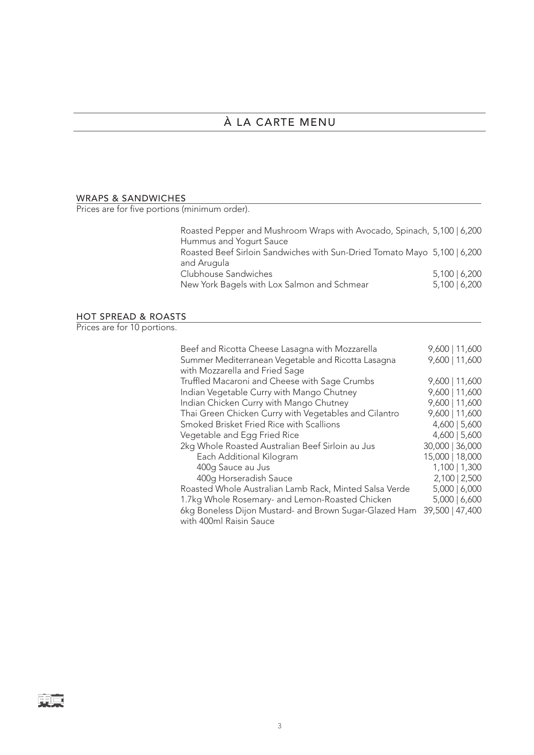# À LA CARTE MENU

## WRAPS & SANDWICHES

Prices are for five portions (minimum order).

| Roasted Pepper and Mushroom Wraps with Avocado, Spinach, 5,100   6,200   |                 |  |
|--------------------------------------------------------------------------|-----------------|--|
| Hummus and Yogurt Sauce                                                  |                 |  |
| Roasted Beef Sirloin Sandwiches with Sun-Dried Tomato Mayo 5,100   6,200 |                 |  |
| and Arugula                                                              |                 |  |
| Clubhouse Sandwiches                                                     | $5,100$   6,200 |  |
| New York Bagels with Lox Salmon and Schmear                              | 5,100   6,200   |  |
|                                                                          |                 |  |

# HOT SPREAD & ROASTS

Prices are for 10 portions.

| Beef and Ricotta Cheese Lasagna with Mozzarella<br>Summer Mediterranean Vegetable and Ricotta Lasagna<br>with Mozzarella and Fried Sage | 9,600   11,600<br>9,600   11,600 |
|-----------------------------------------------------------------------------------------------------------------------------------------|----------------------------------|
| Truffled Macaroni and Cheese with Sage Crumbs                                                                                           | 9,600   11,600                   |
| Indian Vegetable Curry with Mango Chutney                                                                                               | 9,600   11,600                   |
| Indian Chicken Curry with Mango Chutney                                                                                                 | 9,600   11,600                   |
| Thai Green Chicken Curry with Vegetables and Cilantro                                                                                   | 9,600   11,600                   |
| Smoked Brisket Fried Rice with Scallions                                                                                                | $4,600$   5,600                  |
| Vegetable and Egg Fried Rice                                                                                                            | $4,600$   5,600                  |
| 2kg Whole Roasted Australian Beef Sirloin au Jus                                                                                        | 30,000   36,000                  |
| Each Additional Kilogram                                                                                                                | 15,000   18,000                  |
| 400g Sauce au Jus                                                                                                                       | 1,100   1,300                    |
| 400g Horseradish Sauce                                                                                                                  | 2,100   2,500                    |
| Roasted Whole Australian Lamb Rack, Minted Salsa Verde                                                                                  | 5,000   6,000                    |
| 1.7kg Whole Rosemary- and Lemon-Roasted Chicken                                                                                         | 5,000   6,600                    |
| 6kg Boneless Dijon Mustard- and Brown Sugar-Glazed Ham<br>with 400ml Raisin Sauce                                                       | 39,500   47,400                  |

雨戸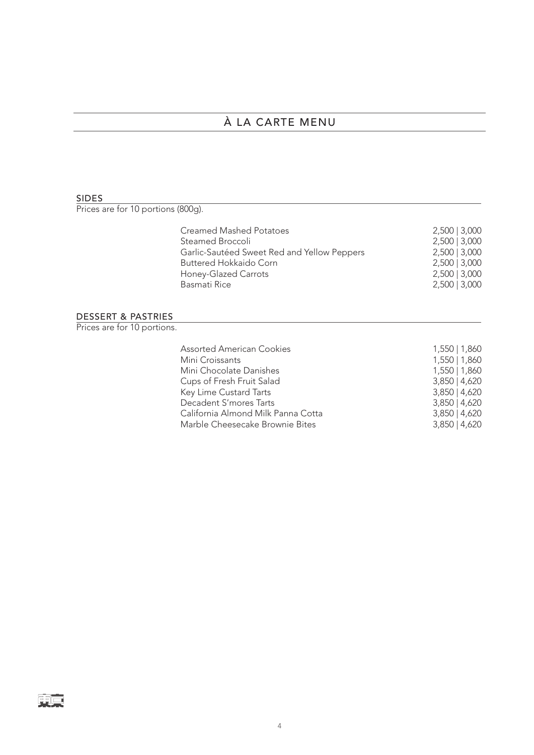# À LA CARTE MENU

#### SIDES

東京

Prices are for 10 portions (800g).

| <b>Creamed Mashed Potatoes</b>              | $2,500$   3,000 |
|---------------------------------------------|-----------------|
| Steamed Broccoli                            | $2,500$   3,000 |
| Garlic-Sautéed Sweet Red and Yellow Peppers | $2,500$   3,000 |
| Buttered Hokkaido Corn                      | $2,500$   3,000 |
| Honey-Glazed Carrots                        | $2,500$   3,000 |
| Basmati Rice                                | $2,500$   3,000 |

#### DESSERT & PASTRIES

Prices are for 10 portions.

| <b>Assorted American Cookies</b>   | 1,550   1,860   |
|------------------------------------|-----------------|
| Mini Croissants                    | 1,550   1,860   |
| Mini Chocolate Danishes            | 1,550   1,860   |
| Cups of Fresh Fruit Salad          | $3,850$   4,620 |
| Key Lime Custard Tarts             | $3,850$   4,620 |
| Decadent S'mores Tarts             | $3,850$   4,620 |
| California Almond Milk Panna Cotta | $3,850$   4,620 |
| Marble Cheesecake Brownie Bites    | $3,850$   4,620 |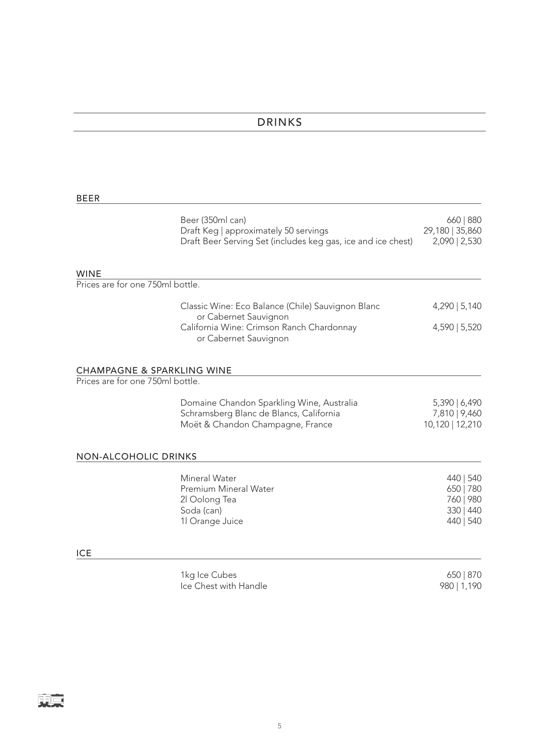# DRINKS

### BEER

|                                                                           | Beer (350ml can)<br>Draft Keg   approximately 50 servings<br>Draft Beer Serving Set (includes keg gas, ice and ice chest) | 660   880<br>29,180   35,860<br>2,090   2,530                 |
|---------------------------------------------------------------------------|---------------------------------------------------------------------------------------------------------------------------|---------------------------------------------------------------|
| <b>WINE</b><br>Prices are for one 750ml bottle.                           |                                                                                                                           |                                                               |
|                                                                           | Classic Wine: Eco Balance (Chile) Sauvignon Blanc                                                                         | 4,290   5,140                                                 |
|                                                                           | or Cabernet Sauvignon<br>California Wine: Crimson Ranch Chardonnay<br>or Cabernet Sauvignon                               | 4,590   5,520                                                 |
| <b>CHAMPAGNE &amp; SPARKLING WINE</b><br>Prices are for one 750ml bottle. |                                                                                                                           |                                                               |
|                                                                           | Domaine Chandon Sparkling Wine, Australia<br>Schramsberg Blanc de Blancs, California<br>Moët & Chandon Champagne, France  | 5,390   6,490<br>7,810   9,460<br>10,120   12,210             |
| <b>NON-ALCOHOLIC DRINKS</b>                                               |                                                                                                                           |                                                               |
|                                                                           | Mineral Water<br>Premium Mineral Water<br>2l Oolong Tea<br>Soda (can)<br>1l Orange Juice                                  | 440   540<br>650   780<br>760   980<br>330   440<br>440   540 |
| <b>ICE</b>                                                                |                                                                                                                           |                                                               |
|                                                                           | 1kg Ice Cubes<br>Ice Chest with Handle                                                                                    | 650   870<br>980   1,190                                      |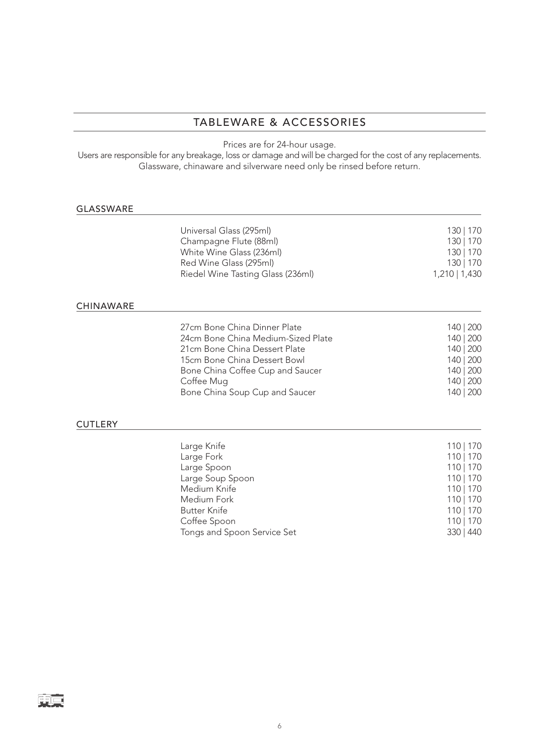### TABLEWARE & ACCESSORIES

Prices are for 24-hour usage.

Users are responsible for any breakage, loss or damage and will be charged for the cost of any replacements. Glassware, chinaware and silverware need only be rinsed before return.

#### GLASSWARE

CHINAWARE

| Universal Glass (295ml)<br>Champagne Flute (88ml)<br>White Wine Glass (236ml)<br>Red Wine Glass (295ml)<br>Riedel Wine Tasting Glass (236ml)                                                                            | 130   170<br>130   170<br>130   170<br>130   170<br>$1,210$   1,430                     |
|-------------------------------------------------------------------------------------------------------------------------------------------------------------------------------------------------------------------------|-----------------------------------------------------------------------------------------|
| 27cm Bone China Dinner Plate<br>24cm Bone China Medium-Sized Plate<br>21cm Bone China Dessert Plate<br>15cm Bone China Dessert Bowl<br>Bone China Coffee Cup and Saucer<br>Coffee Mug<br>Bone China Soup Cup and Saucer | 140   200<br>140   200<br>140   200<br>140   200<br>140   200<br>140   200<br>140   200 |

#### **CUTLERY**

| Large Knife                 | 110   170 |
|-----------------------------|-----------|
|                             |           |
| Large Fork                  | 110   170 |
| Large Spoon                 | 110   170 |
| Large Soup Spoon            | 110   170 |
| Medium Knife                | 110   170 |
| Medium Fork                 | 110   170 |
| <b>Butter Knife</b>         | 110   170 |
| Coffee Spoon                | 110   170 |
| Tongs and Spoon Service Set | 330   440 |
|                             |           |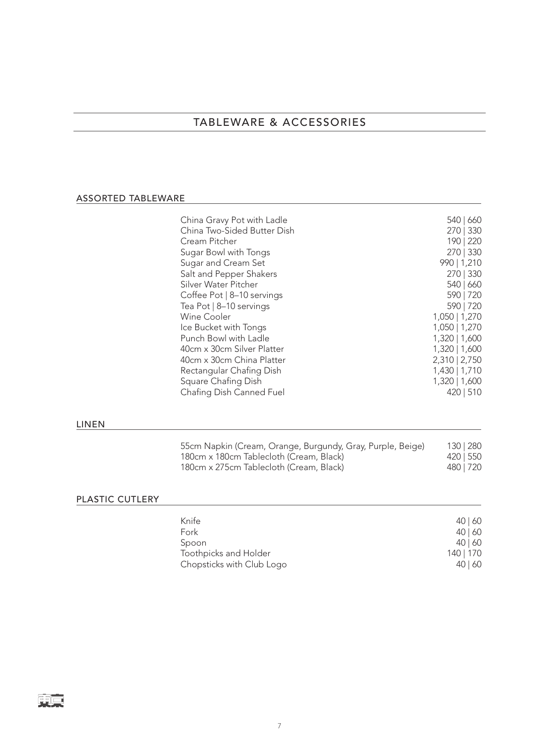## TABLEWARE & ACCESSORIES

### ASSORTED TABLEWARE

| China Gravy Pot with Ladle  | 540   660     |
|-----------------------------|---------------|
| China Two-Sided Butter Dish | 270   330     |
| Cream Pitcher               | 190   220     |
| Sugar Bowl with Tongs       | 270   330     |
| Sugar and Cream Set         | 990   1,210   |
| Salt and Pepper Shakers     | 270   330     |
| Silver Water Pitcher        | 540   660     |
| Coffee Pot   8-10 servings  | 590   720     |
| Tea Pot   8-10 servings     | 590   720     |
| <b>Wine Cooler</b>          | 1,050   1,270 |
| Ice Bucket with Tongs       | 1,050   1,270 |
| Punch Bowl with Ladle       | 1,320   1,600 |
| 40cm x 30cm Silver Platter  | 1,320   1,600 |
| 40cm x 30cm China Platter   | 2,310   2,750 |
| Rectangular Chafing Dish    | 1,430   1,710 |
| Square Chafing Dish         | 1,320   1,600 |
| Chafing Dish Canned Fuel    | 420   510     |
|                             |               |

# LINEN

| 55cm Napkin (Cream, Orange, Burgundy, Gray, Purple, Beige) | 130   280 |  |
|------------------------------------------------------------|-----------|--|
| 180cm x 180cm Tablecloth (Cream, Black)                    | 420   550 |  |
| 180cm x 275cm Tablecloth (Cream, Black)                    | 480   720 |  |

### PLASTIC CUTLERY **Example 2018**

| Knife                     | 40   60   |
|---------------------------|-----------|
| Fork                      | 40   60   |
| Spoon                     | 40   60   |
| Toothpicks and Holder     | 140   170 |
| Chopsticks with Club Logo | 40   60   |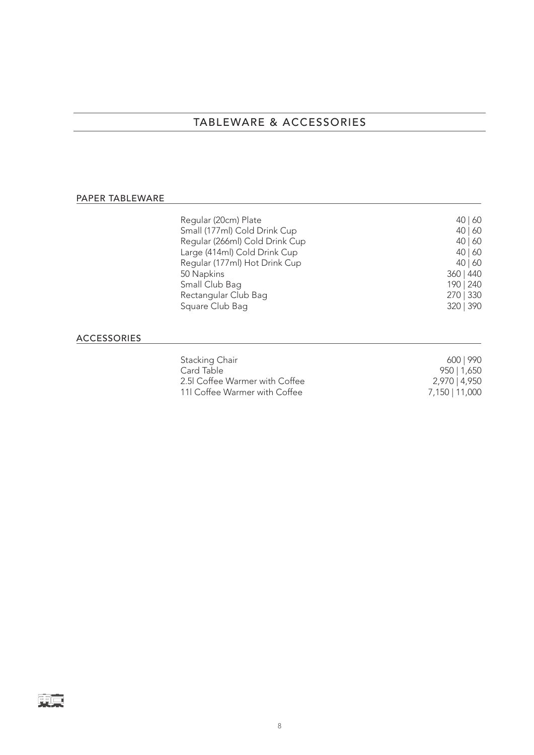# TABLEWARE & ACCESSORIES

### PAPER TABLEWARE

| Regular (20cm) Plate<br>Small (177ml) Cold Drink Cup | 40   60<br>40   60 |
|------------------------------------------------------|--------------------|
| Regular (266ml) Cold Drink Cup                       | 40   60            |
| Large (414ml) Cold Drink Cup                         | 40   60            |
| Regular (177ml) Hot Drink Cup                        | 40   60            |
| 50 Napkins                                           | 360   440          |
| Small Club Bag                                       | 190   240          |
| Rectangular Club Bag                                 | 270   330          |
| Square Club Bag                                      | 320   390          |
|                                                      |                    |

### ACCESSORIES

東京

| Stacking Chair                | 600   990      |
|-------------------------------|----------------|
| Card Table                    | 950   1,650    |
| 2.5 Coffee Warmer with Coffee | 2,970   4,950  |
| 11 Coffee Warmer with Coffee  | 7,150   11,000 |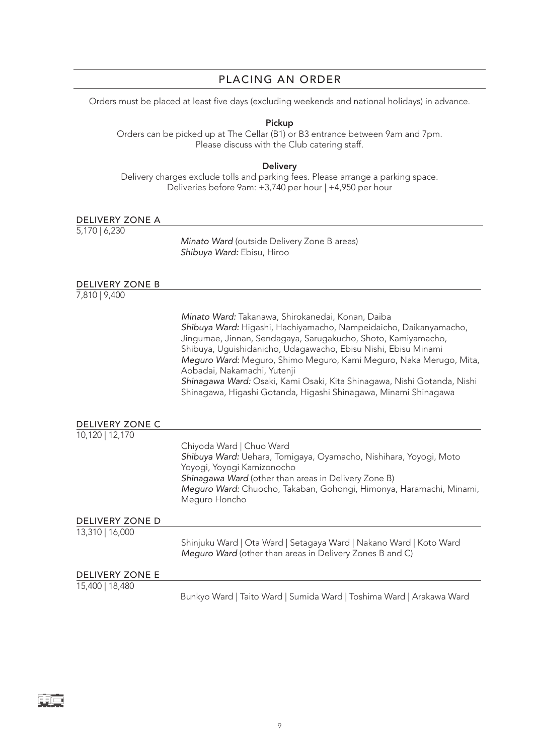# PLACING AN ORDER

Orders must be placed at least five days (excluding weekends and national holidays) in advance.

Pickup

Orders can be picked up at The Cellar (B1) or B3 entrance between 9am and 7pm. Please discuss with the Club catering staff.

**Delivery** 

Delivery charges exclude tolls and parking fees. Please arrange a parking space. Deliveries before 9am: +3,740 per hour | +4,950 per hour

| DELIVERY ZONE A        |                                                                                                                                                                                                                                                                                                                                                                                                                                                                                                              |
|------------------------|--------------------------------------------------------------------------------------------------------------------------------------------------------------------------------------------------------------------------------------------------------------------------------------------------------------------------------------------------------------------------------------------------------------------------------------------------------------------------------------------------------------|
| 5,170   6,230          | Minato Ward (outside Delivery Zone B areas)<br>Shibuya Ward: Ebisu, Hiroo                                                                                                                                                                                                                                                                                                                                                                                                                                    |
| <b>DELIVERY ZONE B</b> |                                                                                                                                                                                                                                                                                                                                                                                                                                                                                                              |
| 7,810   9,400          |                                                                                                                                                                                                                                                                                                                                                                                                                                                                                                              |
|                        | Minato Ward: Takanawa, Shirokanedai, Konan, Daiba<br>Shibuya Ward: Higashi, Hachiyamacho, Nampeidaicho, Daikanyamacho,<br>Jingumae, Jinnan, Sendagaya, Sarugakucho, Shoto, Kamiyamacho,<br>Shibuya, Uguishidanicho, Udagawacho, Ebisu Nishi, Ebisu Minami<br>Meguro Ward: Meguro, Shimo Meguro, Kami Meguro, Naka Merugo, Mita,<br>Aobadai, Nakamachi, Yutenji<br>Shinagawa Ward: Osaki, Kami Osaki, Kita Shinagawa, Nishi Gotanda, Nishi<br>Shinagawa, Higashi Gotanda, Higashi Shinagawa, Minami Shinagawa |
| <b>DELIVERY ZONE C</b> |                                                                                                                                                                                                                                                                                                                                                                                                                                                                                                              |
| 10,120   12,170        | Chiyoda Ward   Chuo Ward<br>Shibuya Ward: Uehara, Tomigaya, Oyamacho, Nishihara, Yoyogi, Moto<br>Yoyogi, Yoyogi Kamizonocho<br>Shinagawa Ward (other than areas in Delivery Zone B)<br>Meguro Ward: Chuocho, Takaban, Gohongi, Himonya, Haramachi, Minami,<br>Meguro Honcho                                                                                                                                                                                                                                  |
| <b>DELIVERY ZONE D</b> |                                                                                                                                                                                                                                                                                                                                                                                                                                                                                                              |
| 13,310   16,000        | Shinjuku Ward   Ota Ward   Setagaya Ward   Nakano Ward   Koto Ward<br>Meguro Ward (other than areas in Delivery Zones B and C)                                                                                                                                                                                                                                                                                                                                                                               |
| <b>DELIVERY ZONE E</b> |                                                                                                                                                                                                                                                                                                                                                                                                                                                                                                              |
| 15,400   18,480        |                                                                                                                                                                                                                                                                                                                                                                                                                                                                                                              |
|                        | Bunkyo Ward   Taito Ward   Sumida Ward   Toshima Ward   Arakawa Ward                                                                                                                                                                                                                                                                                                                                                                                                                                         |